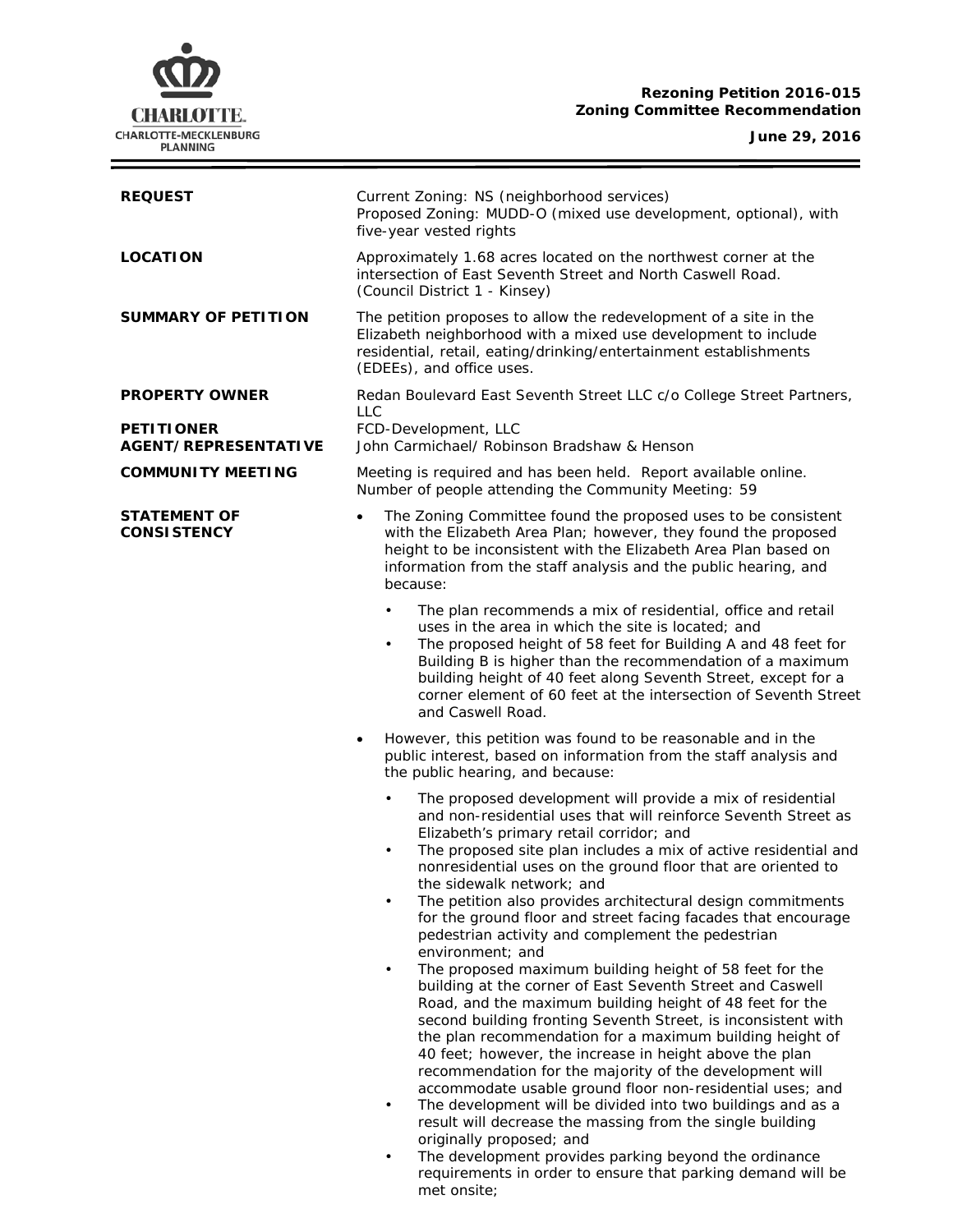## **Rezoning Petition 2016-015 Zoning Committee Recommendation**



**June 29, 2016**

 $\equiv$ 

| <b>REQUEST</b>                                   | Current Zoning: NS (neighborhood services)<br>Proposed Zoning: MUDD-O (mixed use development, optional), with<br>five-year vested rights                                                                                                                                                                                                                                                                                                                                                                                                                                                                                                                                                                                                                                                                                                                                                                                                                                                                                                                                                                                                                                                                                                                                                                                                                                                                            |
|--------------------------------------------------|---------------------------------------------------------------------------------------------------------------------------------------------------------------------------------------------------------------------------------------------------------------------------------------------------------------------------------------------------------------------------------------------------------------------------------------------------------------------------------------------------------------------------------------------------------------------------------------------------------------------------------------------------------------------------------------------------------------------------------------------------------------------------------------------------------------------------------------------------------------------------------------------------------------------------------------------------------------------------------------------------------------------------------------------------------------------------------------------------------------------------------------------------------------------------------------------------------------------------------------------------------------------------------------------------------------------------------------------------------------------------------------------------------------------|
| <b>LOCATION</b>                                  | Approximately 1.68 acres located on the northwest corner at the<br>intersection of East Seventh Street and North Caswell Road.<br>(Council District 1 - Kinsey)                                                                                                                                                                                                                                                                                                                                                                                                                                                                                                                                                                                                                                                                                                                                                                                                                                                                                                                                                                                                                                                                                                                                                                                                                                                     |
| <b>SUMMARY OF PETITION</b>                       | The petition proposes to allow the redevelopment of a site in the<br>Elizabeth neighborhood with a mixed use development to include<br>residential, retail, eating/drinking/entertainment establishments<br>(EDEEs), and office uses.                                                                                                                                                                                                                                                                                                                                                                                                                                                                                                                                                                                                                                                                                                                                                                                                                                                                                                                                                                                                                                                                                                                                                                               |
| <b>PROPERTY OWNER</b>                            | Redan Boulevard East Seventh Street LLC c/o College Street Partners,                                                                                                                                                                                                                                                                                                                                                                                                                                                                                                                                                                                                                                                                                                                                                                                                                                                                                                                                                                                                                                                                                                                                                                                                                                                                                                                                                |
| <b>PETITIONER</b><br><b>AGENT/REPRESENTATIVE</b> | <b>LLC</b><br>FCD-Development, LLC<br>John Carmichael/ Robinson Bradshaw & Henson                                                                                                                                                                                                                                                                                                                                                                                                                                                                                                                                                                                                                                                                                                                                                                                                                                                                                                                                                                                                                                                                                                                                                                                                                                                                                                                                   |
| <b>COMMUNITY MEETING</b>                         | Meeting is required and has been held. Report available online.<br>Number of people attending the Community Meeting: 59                                                                                                                                                                                                                                                                                                                                                                                                                                                                                                                                                                                                                                                                                                                                                                                                                                                                                                                                                                                                                                                                                                                                                                                                                                                                                             |
| <b>STATEMENT OF</b><br><b>CONSISTENCY</b>        | The Zoning Committee found the proposed uses to be consistent<br>$\bullet$<br>with the Elizabeth Area Plan; however, they found the proposed<br>height to be inconsistent with the Elizabeth Area Plan based on<br>information from the staff analysis and the public hearing, and<br>because:                                                                                                                                                                                                                                                                                                                                                                                                                                                                                                                                                                                                                                                                                                                                                                                                                                                                                                                                                                                                                                                                                                                      |
|                                                  | The plan recommends a mix of residential, office and retail<br>$\bullet$<br>uses in the area in which the site is located; and<br>The proposed height of 58 feet for Building A and 48 feet for<br>$\bullet$<br>Building B is higher than the recommendation of a maximum<br>building height of 40 feet along Seventh Street, except for a<br>corner element of 60 feet at the intersection of Seventh Street<br>and Caswell Road.                                                                                                                                                                                                                                                                                                                                                                                                                                                                                                                                                                                                                                                                                                                                                                                                                                                                                                                                                                                  |
|                                                  | However, this petition was found to be reasonable and in the<br>$\bullet$<br>public interest, based on information from the staff analysis and<br>the public hearing, and because:                                                                                                                                                                                                                                                                                                                                                                                                                                                                                                                                                                                                                                                                                                                                                                                                                                                                                                                                                                                                                                                                                                                                                                                                                                  |
|                                                  | The proposed development will provide a mix of residential<br>$\bullet$<br>and non-residential uses that will reinforce Seventh Street as<br>Elizabeth's primary retail corridor; and<br>The proposed site plan includes a mix of active residential and<br>$\bullet$<br>nonresidential uses on the ground floor that are oriented to<br>the sidewalk network; and<br>The petition also provides architectural design commitments<br>$\bullet$<br>for the ground floor and street facing facades that encourage<br>pedestrian activity and complement the pedestrian<br>environment; and<br>The proposed maximum building height of 58 feet for the<br>$\bullet$<br>building at the corner of East Seventh Street and Caswell<br>Road, and the maximum building height of 48 feet for the<br>second building fronting Seventh Street, is inconsistent with<br>the plan recommendation for a maximum building height of<br>40 feet; however, the increase in height above the plan<br>recommendation for the majority of the development will<br>accommodate usable ground floor non-residential uses; and<br>The development will be divided into two buildings and as a<br>$\bullet$<br>result will decrease the massing from the single building<br>originally proposed; and<br>The development provides parking beyond the ordinance<br>$\bullet$<br>requirements in order to ensure that parking demand will be |

met onsite;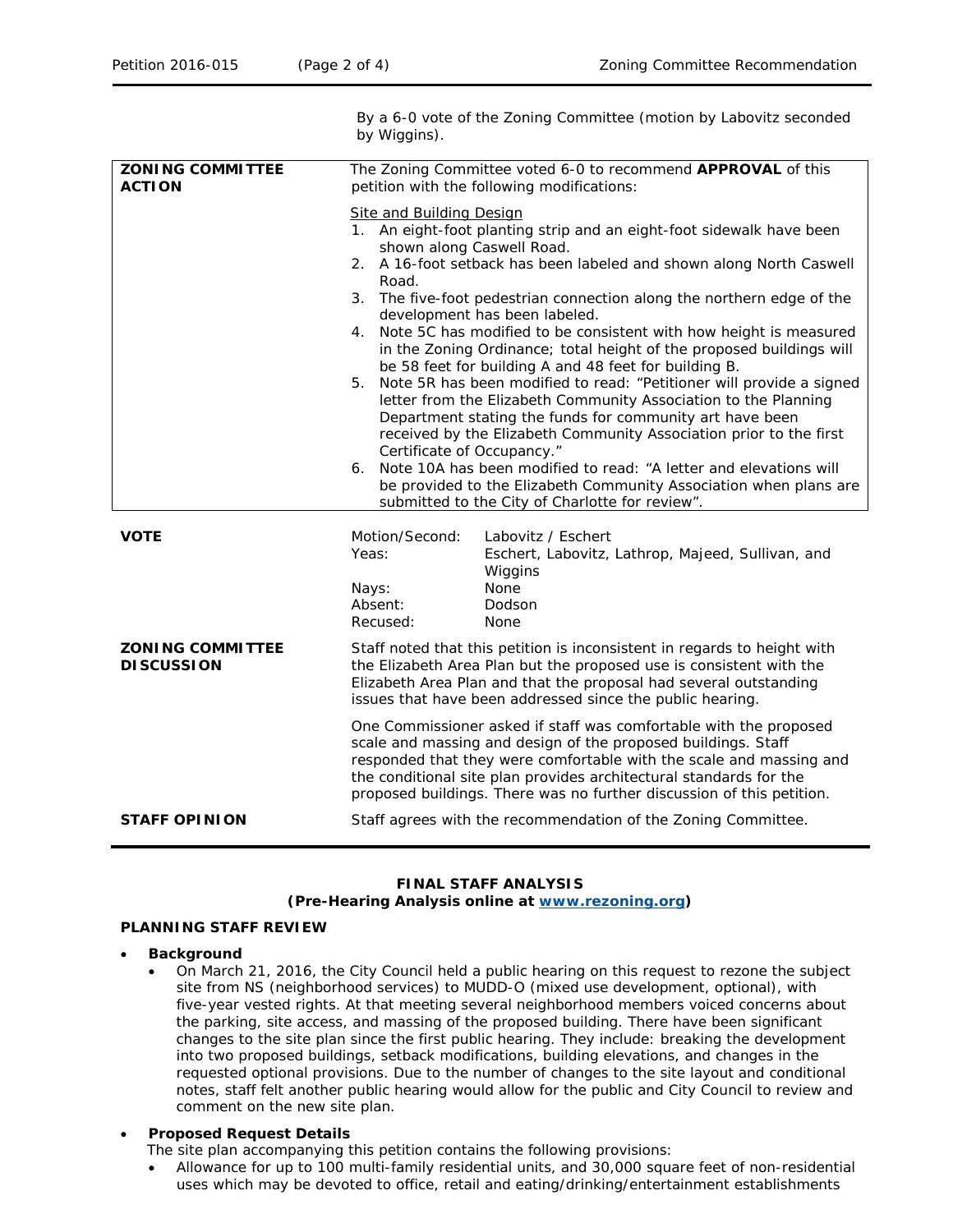By a 6-0 vote of the Zoning Committee (motion by Labovitz seconded

by Wiggins). **ZONING COMMITTEE ACTION** The Zoning Committee voted 6-0 to recommend **APPROVAL** of this petition with the following modifications: Site and Building Design 1. An eight-foot planting strip and an eight-foot sidewalk have been shown along Caswell Road. 2. A 16-foot setback has been labeled and shown along North Caswell Road. 3. The five-foot pedestrian connection along the northern edge of the development has been labeled. 4. Note 5C has modified to be consistent with how height is measured in the Zoning Ordinance; total height of the proposed buildings will be 58 feet for building A and 48 feet for building B. 5. Note 5R has been modified to read: "Petitioner will provide a signed letter from the Elizabeth Community Association to the Planning Department stating the funds for community art have been received by the Elizabeth Community Association prior to the first Certificate of Occupancy." 6. Note 10A has been modified to read: "A letter and elevations will be provided to the Elizabeth Community Association when plans are submitted to the City of Charlotte for review". **VOTE** Motion/Second: Labovitz / Eschert Yeas: Eschert, Labovitz, Lathrop, Majeed, Sullivan, and Wiggins Nays: None Absent: Dodson Recused: None **ZONING COMMITTEE DISCUSSION** Staff noted that this petition is inconsistent in regards to height with the *Elizabeth Area Plan* but the proposed use is consistent with the *Elizabeth Area Plan* and that the proposal had several outstanding issues that have been addressed since the public hearing. One Commissioner asked if staff was comfortable with the proposed scale and massing and design of the proposed buildings. Staff responded that they were comfortable with the scale and massing and the conditional site plan provides architectural standards for the proposed buildings. There was no further discussion of this petition. **STAFF OPINION** Staff agrees with the recommendation of the Zoning Committee.

# **FINAL STAFF ANALYSIS**

### **(Pre-Hearing Analysis online at [www.rezoning.org\)](http://www.rezoning.org/)**

## **PLANNING STAFF REVIEW**

- **Background** 
	- On March 21, 2016, the City Council held a public hearing on this request to rezone the subject site from NS (neighborhood services) to MUDD-O (mixed use development, optional), with five-year vested rights. At that meeting several neighborhood members voiced concerns about the parking, site access, and massing of the proposed building. There have been significant changes to the site plan since the first public hearing. They include: breaking the development into two proposed buildings, setback modifications, building elevations, and changes in the requested optional provisions. Due to the number of changes to the site layout and conditional notes, staff felt another public hearing would allow for the public and City Council to review and comment on the new site plan.

## • **Proposed Request Details**

- The site plan accompanying this petition contains the following provisions:
- Allowance for up to 100 multi-family residential units, and 30,000 square feet of non-residential uses which may be devoted to office, retail and eating/drinking/entertainment establishments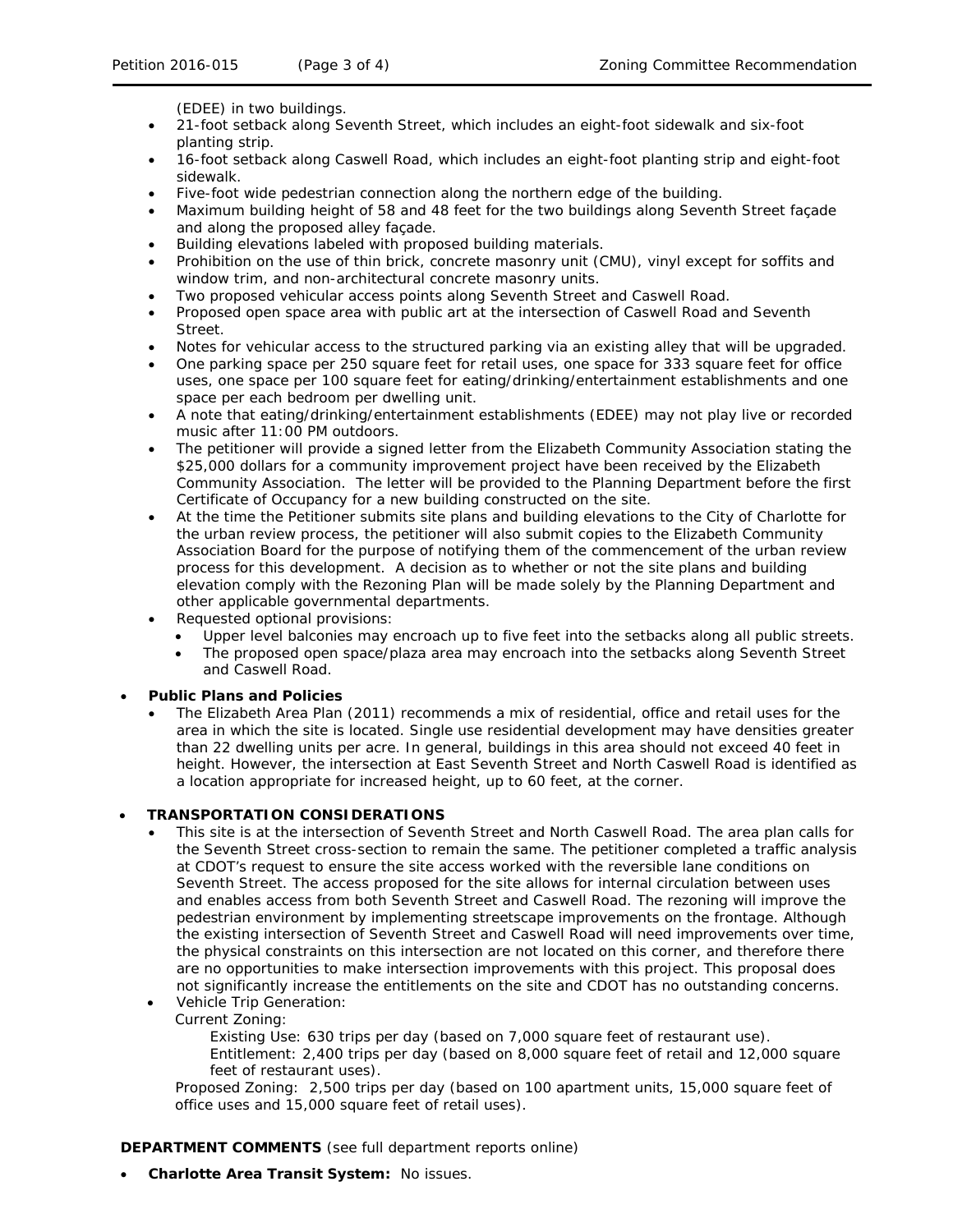(EDEE) in two buildings.

- 21-foot setback along Seventh Street, which includes an eight-foot sidewalk and six-foot planting strip.
- 16-foot setback along Caswell Road, which includes an eight-foot planting strip and eight-foot sidewalk.
- Five-foot wide pedestrian connection along the northern edge of the building.
- Maximum building height of 58 and 48 feet for the two buildings along Seventh Street façade and along the proposed alley façade.
- Building elevations labeled with proposed building materials.
- Prohibition on the use of thin brick, concrete masonry unit (CMU), vinyl except for soffits and window trim, and non-architectural concrete masonry units.
- Two proposed vehicular access points along Seventh Street and Caswell Road.
- Proposed open space area with public art at the intersection of Caswell Road and Seventh Street.
- Notes for vehicular access to the structured parking via an existing alley that will be upgraded.
- One parking space per 250 square feet for retail uses, one space for 333 square feet for office uses, one space per 100 square feet for eating/drinking/entertainment establishments and one space per each bedroom per dwelling unit.
- A note that eating/drinking/entertainment establishments (EDEE) may not play live or recorded music after 11:00 PM outdoors.
- The petitioner will provide a signed letter from the Elizabeth Community Association stating the \$25,000 dollars for a community improvement project have been received by the Elizabeth Community Association. The letter will be provided to the Planning Department before the first Certificate of Occupancy for a new building constructed on the site.
- At the time the Petitioner submits site plans and building elevations to the City of Charlotte for the urban review process, the petitioner will also submit copies to the Elizabeth Community Association Board for the purpose of notifying them of the commencement of the urban review process for this development. A decision as to whether or not the site plans and building elevation comply with the Rezoning Plan will be made solely by the Planning Department and other applicable governmental departments.
- Requested optional provisions:
	- Upper level balconies may encroach up to five feet into the setbacks along all public streets.
	- The proposed open space/plaza area may encroach into the setbacks along Seventh Street and Caswell Road.

#### • **Public Plans and Policies**

• The *Elizabeth Area Plan* (2011) recommends a mix of residential, office and retail uses for the area in which the site is located. Single use residential development may have densities greater than 22 dwelling units per acre. In general, buildings in this area should not exceed 40 feet in height. However, the intersection at East Seventh Street and North Caswell Road is identified as a location appropriate for increased height, up to 60 feet, at the corner.

#### • **TRANSPORTATION CONSIDERATIONS**

- This site is at the intersection of Seventh Street and North Caswell Road. The area plan calls for the Seventh Street cross-section to remain the same. The petitioner completed a traffic analysis at CDOT's request to ensure the site access worked with the reversible lane conditions on Seventh Street. The access proposed for the site allows for internal circulation between uses and enables access from both Seventh Street and Caswell Road. The rezoning will improve the pedestrian environment by implementing streetscape improvements on the frontage. Although the existing intersection of Seventh Street and Caswell Road will need improvements over time, the physical constraints on this intersection are not located on this corner, and therefore there are no opportunities to make intersection improvements with this project. This proposal does not significantly increase the entitlements on the site and CDOT has no outstanding concerns. • Vehicle Trip Generation:
	- Current Zoning:

Existing Use: 630 trips per day (based on 7,000 square feet of restaurant use). Entitlement: 2,400 trips per day (based on 8,000 square feet of retail and 12,000 square feet of restaurant uses).

Proposed Zoning: 2,500 trips per day (based on 100 apartment units, 15,000 square feet of office uses and 15,000 square feet of retail uses).

**DEPARTMENT COMMENTS** (see full department reports online)

• **Charlotte Area Transit System:** No issues.